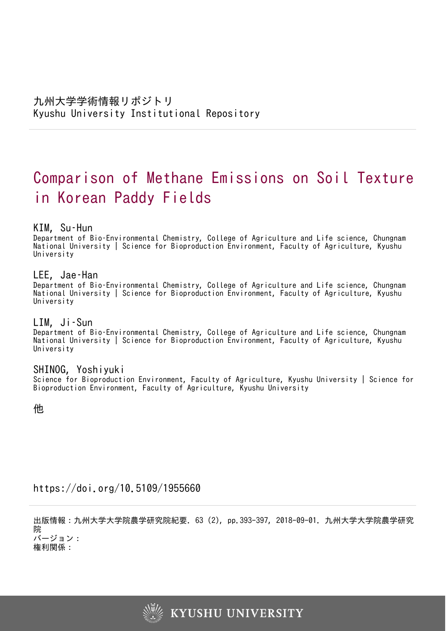# Comparison of Methane Emissions on Soil Texture in Korean Paddy Fields

# KIM, Su–Hun

Department of Bio–Environmental Chemistry, College of Agriculture and Life science, Chungnam National University | Science for Bioproduction Environment, Faculty of Agriculture, Kyushu University

# LEE, Jae–Han

Department of Bio–Environmental Chemistry, College of Agriculture and Life science, Chungnam National University | Science for Bioproduction Environment, Faculty of Agriculture, Kyushu University

# LIM, Ji–Sun

Department of Bio–Environmental Chemistry, College of Agriculture and Life science, Chungnam National University | Science for Bioproduction Environment, Faculty of Agriculture, Kyushu University

# SHINOG, Yoshiyuki

Science for Bioproduction Environment, Faculty of Agriculture, Kyushu University | Science for Bioproduction Environment, Faculty of Agriculture, Kyushu University

他

# https://doi.org/10.5109/1955660

出版情報:九州大学大学院農学研究院紀要. 63 (2), pp.393-397, 2018-09-01. 九州大学大学院農学研究 院 バージョン:

権利関係:

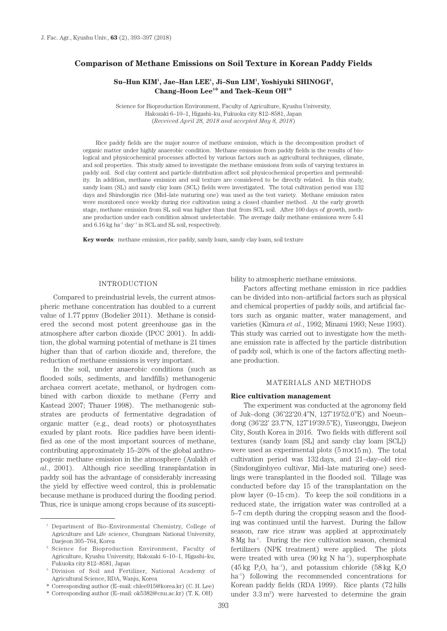# **Comparison of Methane Emissions on Soil Texture in Korean Paddy Fields**

## Su–Hun KIM<sup>1</sup>, Jae–Han LEE<sup>1</sup>, Ji–Sun LIM<sup>1</sup>, Yoshiyuki SHINOGI<sup>2</sup>, **Chang–Hoon Lee3 \* and Taek–Keun OH1 \***

Science for Bioproduction Environment, Faculty of Agriculture, Kyushu University, Hakozaki 6–10–1, Higashi–ku, Fukuoka city 812–8581, Japan (*Received April 28, 2018 and accepted May 8, 2018*)

Rice paddy fields are the major source of methane emission, which is the decomposition product of organic matter under highly anaerobic condition. Methane emission from paddy fields is the results of biological and physicochemical processes affected by various factors such as agricultural techniques, climate, and soil properties. This study aimed to investigate the methane emissions from soils of varying textures in paddy soil. Soil clay content and particle distribution affect soil physicochemical properties and permeability. In addition, methane emission and soil texture are considered to be directly related. In this study, sandy loam (SL) and sandy clay loam (SCL) fields were investigated. The total cultivation period was 132 days and Shindongjin rice (Mid–late maturing one) was used as the test variety. Methane emission rates were monitored once weekly during rice cultivation using a closed chamber method. At the early growth stage, methane emission from SL soil was higher than that from SCL soil. After 100 days of growth, methane production under each condition almost undetectable. The average daily methane emissions were 5.41 and  $6.16$  kg ha<sup>-1</sup> day<sup>-1</sup> in SCL and SL soil, respectively.

**Key words**: methane emission, rice paddy, sandy loam, sandy clay loam, soil texture

## INTRODUCTION

Compared to preindustrial levels, the current atmospheric methane concentration has doubled to a current value of 1.77 ppmv (Bodelier 2011). Methane is considered the second most potent greenhouse gas in the atmosphere after carbon dioxide (IPCC 2001). In addition, the global warming potential of methane is 21 times higher than that of carbon dioxide and, therefore, the reduction of methane emissions is very important.

In the soil, under anaerobic conditions (such as flooded soils, sediments, and landfills) methanogenic archaea convert acetate, methanol, or hydrogen combined with carbon dioxide to methane (Ferry and Kastead 2007; Thauer 1998). The methanogenic substrates are products of fermentative degradation of organic matter (e.g., dead roots) or photosynthates exuded by plant roots. Rice paddies have been identified as one of the most important sources of methane, contributing approximately 15–20% of the global anthropogenic methane emission in the atmosphere (Aulakh *et al*., 2001). Although rice seedling transplantation in paddy soil has the advantage of considerably increasing the yield by effective weed control, this is problematic because methane is produced during the flooding period. Thus, rice is unique among crops because of its susceptibility to atmospheric methane emissions.

Factors affecting methane emission in rice paddies can be divided into non–artificial factors such as physical and chemical properties of paddy soils, and artificial factors such as organic matter, water management, and varieties (Kimura *et al*., 1992; Minami 1993; Neue 1993). This study was carried out to investigate how the methane emission rate is affected by the particle distribution of paddy soil, which is one of the factors affecting methane production.

## MATERIALS AND METHODS

#### **Rice cultivation management**

The experiment was conducted at the agronomy field of Juk–dong (36˚22'20.4''N, 127˚19'52.0''E) and Noeun– dong (36˚22' 23.7''N, 127˚19'39.5''E), Yuseonggu, Daejeon City, South Korea in 2016. Two fields with different soil textures (sandy loam [SL] and sandy clay loam [SCL]) were used as experimental plots  $(5 \text{ m} \times 15 \text{ m})$ . The total cultivation period was 132 days, and 21–day–old rice (Sindongjinbyeo cultivar, Mid–late maturing one) seedlings were transplanted in the flooded soil. Tillage was conducted before day 15 of the transplantation on the plow layer (0–15 cm). To keep the soil conditions in a reduced state, the irrigation water was controlled at a 5–7 cm depth during the cropping season and the flooding was continued until the harvest. During the fallow season, raw rice straw was applied at approximately 8 Mg ha–1. During the rice cultivation season, chemical fertilizers (NPK treatment) were applied. The plots were treated with urea  $(90 \text{ kg N} \text{ ha}^{-1})$ , superphosphate  $(45 \text{ kg } P_{2}O_{5} \text{ ha}^{-1})$ , and potassium chloride  $(58 \text{ kg } K_{2}O_{5})$ ha<sup>-1</sup>) following the recommended concentrations for Korean paddy fields (RDA 1999). Rice plants (72 hills under  $3.3 \text{ m}^2$ ) were harvested to determine the grain

<sup>1</sup> Department of Bio–Environmental Chemistry, College of Agriculture and Life science, Chungnam National University, Daejeon 305–764, Korea

<sup>2</sup> Science for Bioproduction Environment, Faculty of Agriculture, Kyushu University, Hakozaki 6–10–1, Higashi–ku, Fukuoka city 812–8581, Japan

<sup>3</sup> Division of Soil and Fertilizer, National Academy of Agricultural Science, RDA, Wanju, Korea

<sup>\*</sup> Corresponding author (E–mail: chlee915@korea.kr) (C. H. Lee)

<sup>\*</sup> Corresponding author (E–mail: ok5382@cnu.ac.kr) (T. K. OH)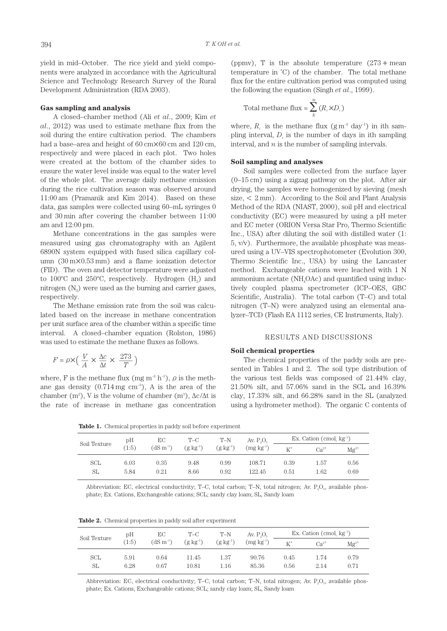yield in mid–October. The rice yield and yield components were analyzed in accordance with the Agricultural Science and Technology Research Survey of the Rural Development Administration (RDA 2003).

#### **Gas sampling and analysis**

A closed–chamber method (Ali *et al*., 2009; Kim *et al*., 2012) was used to estimate methane flux from the soil during the entire cultivation period. The chambers had a base–area and height of 60 cm $\times$ 60 cm and 120 cm, respectively and were placed in each plot. Two holes were created at the bottom of the chamber sides to ensure the water level inside was equal to the water level of the whole plot. The average daily methane emission during the rice cultivation season was observed around 11:00 am (Pramanik and Kim 2014). Based on these data, gas samples were collected using 60–mL syringes 0 and 30 min after covering the chamber between 11:00 am and 12:00 pm.

Methane concentrations in the gas samples were measured using gas chromatography with an Agilent 6890N system equipped with fused silica capillary column (30 m×0.53 mm) and a flame ionization detector (FID). The oven and detector temperature were adjusted to  $100^{\circ}$ C and  $250^{\circ}$ C, respectively. Hydrogen (H<sub>2</sub>) and nitrogen  $(N_2)$  were used as the burning and carrier gases, respectively.

The Methane emission rate from the soil was calculated based on the increase in methane concentration per unit surface area of the chamber within a specific time interval. A closed–chamber equation (Rolston, 1986) was used to estimate the methane fluxes as follows.

$$
F = \rho \times \left(\frac{V}{A} \times \frac{\Delta c}{\Delta t} \times \frac{273}{T}\right)
$$

where, F is the methane flux (mg m<sup>-2</sup> h<sup>-1</sup>),  $\rho$  is the methane gas density  $(0.714 \,\mathrm{mg \ cm^{-3}})$ , A is the area of the chamber (m<sup>2</sup>), V is the volume of chamber (m<sup>3</sup>),  $\Delta c/\Delta t$  is the rate of increase in methane gas concentration

(ppmv), T is the absolute temperature  $(273 + \text{mean})$ temperature in ˚C) of the chamber. The total methane flux for the entire cultivation period was computed using the following the equation (Singh *et al*., 1999).

Total methane flux = 
$$
\sum_{k}^{n} (R_i \times D_i)
$$

where,  $R_i$  is the methane flux  $(g m^{-2} day^{-1})$  in ith sampling interval,  $D_i$  is the number of days in ith sampling interval, and *n* is the number of sampling intervals.

## **Soil sampling and analyses**

Soil samples were collected from the surface layer (0–15 cm) using a zigzag pathway on the plot. After air drying, the samples were homogenized by sieving (mesh size,  $\lt 2$  mm). According to the Soil and Plant Analysis Method of the RDA (NIAST, 2000), soil pH and electrical conductivity (EC) were measured by using a pH meter and EC meter (ORION Versa Star Pro, Thermo Scientific Inc., USA) after diluting the soil with distilled water (1: 5, v/v). Furthermore, the available phosphate was measured using a UV–VIS spectrophotometer (Evolution 300, Thermo Scientific Inc., USA) by using the Lancaster method. Exchangeable cations were leached with 1 N ammonium acetate  $(NH_4OAC)$  and quantified using inductively coupled plasma spectrometer (ICP–OES, GBC Scientific, Australia). The total carbon (T–C) and total nitrogen (T–N) were analyzed using an elemental analyzer–TCD (Flash EA 1112 series, CE Instruments, Italy).

#### RESULTS AND DISCUSSIONS

#### **Soil chemical properties**

The chemical properties of the paddy soils are presented in Tables 1 and 2. The soil type distribution of the various test fields was composed of 21.44% clay, 21.50% silt, and 57.06% sand in the SCL and 16.39% clay, 17.33% silt, and 66.28% sand in the SL (analyzed using a hydrometer method). The organic C contents of

**Table 1.** Chemical properties in paddy soil before experiment

| Soil Texture | pH<br>(1:5) | EС<br>$(dS m^{-1})$ | T-C<br>$(g \; kg^{-1})$ | $T-N$<br>$(g \; kg^{-1})$ | Av. $P_0O_5$<br>$(mg kg-1)$ | Ex. Cation (cmol, $kg^{-1}$ ) |           |            |
|--------------|-------------|---------------------|-------------------------|---------------------------|-----------------------------|-------------------------------|-----------|------------|
|              |             |                     |                         |                           |                             | $K^+$                         | $Ca^{2+}$ | $Mg^{2^+}$ |
| SCL          | 6.03        | 0.35                | 9.48                    | 0.99                      | 108.71                      | 0.39                          | 1.57      | 0.56       |
| SL           | 5.84        | 0.21                | 8.66                    | 0.92                      | 122.45                      | 0.51                          | 1.62      | 0.69       |

Abbreviation: EC, electrical conductivity; T–C, total carbon; T–N, total nitrogen; Av.  $P_2O_5$ , available phosphate; Ex. Cations, Exchangeable cations; SCL; sandy clay loam; SL, Sandy loam

**Table 2.** Chemical properties in paddy soil after experiment

|              | pH<br>(1:5) | EС<br>$(dS m^{-1})$ | T-C<br>$(g \; kg^{-1})$ | $T-N$<br>$(g \ kg^{-1})$ | Av. $P_0O_5$<br>$(mg kg-1)$ | Ex. Cation (cmol, $kg^{-1}$ ) |           |           |
|--------------|-------------|---------------------|-------------------------|--------------------------|-----------------------------|-------------------------------|-----------|-----------|
| Soil Texture |             |                     |                         |                          |                             |                               | $Ca^{2+}$ | $Mg^{2+}$ |
| SCL          | 5.91        | 0.64                | 11.45                   | 1.37                     | 90.76                       | 0.45                          | 1.74      | 0.79      |
| SL           | 6.28        | 0.67                | 10.81                   | 1.16                     | 85.36                       | 0.56                          | 2.14      | 0.71      |

Abbreviation: EC, electrical conductivity; T–C, total carbon; T–N, total nitrogen; Av.  $P_2O_5$ , available phosphate; Ex. Cations, Exchangeable cations; SCL; sandy clay loam; SL, Sandy loam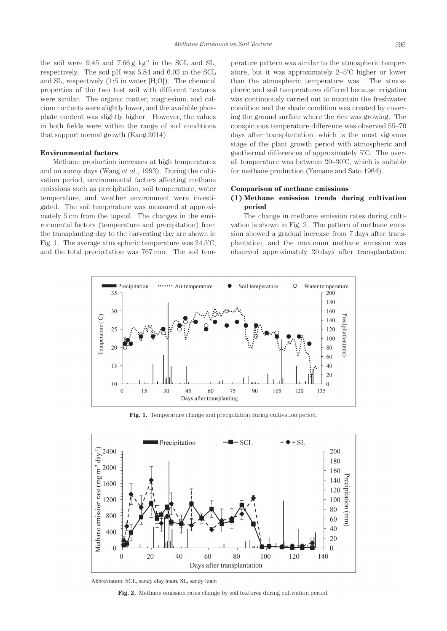the soil were  $9.45$  and  $7.66$  g kg<sup>-1</sup> in the SCL and SL, respectively. The soil pH was 5.84 and 6.03 in the SCL and SL, respectively  $(1:5$  in water  $[H, O])$ . The chemical properties of the two test soil with different textures were similar. The organic matter, magnesium, and calcium contents were slightly lower, and the available phosphate content was slightly higher. However, the values in both fields were within the range of soil conditions that support normal growth (Kang 2014).

#### **Environmental factors**

Methane production increases at high temperatures and on sunny days (Wang *et al*., 1993). During the cultivation period, environmental factors affecting methane emissions such as precipitation, soil temperature, water temperature, and weather environment were investigated. The soil temperature was measured at approximately 5 cm from the topsoil. The changes in the environmental factors (temperature and precipitation) from the transplanting day to the harvesting day are shown in Fig. 1. The average atmospheric temperature was 24.5˚C, and the total precipitation was 767 mm. The soil tem-

perature pattern was similar to the atmospheric temperature, but it was approximately 2–5˚C higher or lower than the atmospheric temperature was. The atmospheric and soil temperatures differed because irrigation was continuously carried out to maintain the freshwater condition and the shade condition was created by covering the ground surface where the rice was growing. The conspicuous temperature difference was observed 55–70 days after transplantation, which is the most vigorous stage of the plant growth period with atmospheric and geothermal differences of approximately 5˚C. The overall temperature was between 20–30˚C, which is suitable for methane production (Yamane and Sato 1964).

#### **Comparison of methane emissions**

## **(1) Methane emission trends during cultivation period**

The change in methane emission rates during cultivation is shown in Fig. 2. The pattern of methane emission showed a gradual increase from 7 days after transplantation, and the maximum methane emission was observed approximately 20 days after transplantation.



Fig. 1. Temperature change and precipitation during cultivation period.



Abbreviation: SCL, sandy clay loam; SL, sandy loam

**Fig. 2.** Methane emission rates change by soil textures during cultivation period.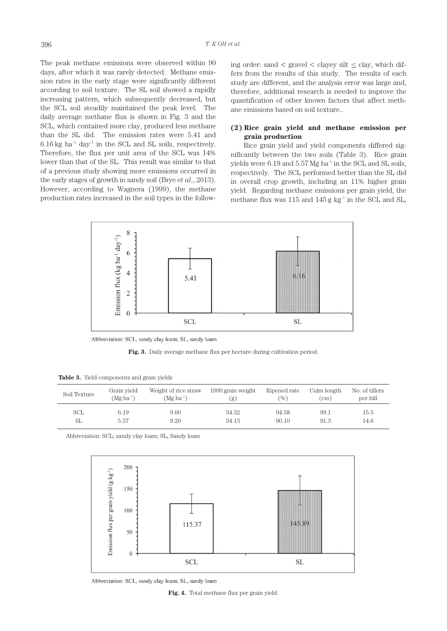The peak methane emissions were observed within 90 days, after which it was rarely detected. Methane emission rates in the early stage were significantly different according to soil texture. The SL soil showed a rapidly increasing pattern, which subsequently decreased, but the SCL soil steadily maintained the peak level. The daily average methane flux is shown in Fig. 3 and the SCL, which contained more clay, produced less methane than the SL did. The emission rates were 5.41 and  $6.16$  kg ha<sup>-1</sup> day<sup>-1</sup> in the SCL and SL soils, respectively. Therefore, the flux per unit area of the SCL was 14% lower than that of the SL. This result was similar to that of a previous study showing more emissions occurred in the early stages of growth in sandy soil (Brye *et al*., 2013). However, according to Wagnera (1999), the methane production rates increased in the soil types in the follow-

ing order: sand  $\langle$  gravel  $\langle$  clayey silt  $\leq$  clay, which differs from the results of this study. The results of each study are different, and the analysis error was large and, therefore, additional research is needed to improve the quantification of other known factors that affect methane emissions based on soil texture..

## **(2) Rice grain yield and methane emission per grain production**

Rice grain yield and yield components differed significantly between the two soils (Table 3). Rice grain yields were  $6.19$  and  $5.57$  Mg ha<sup>-1</sup> in the SCL and SL soils, respectively. The SCL performed better than the SL did in overall crop growth, including an 11% higher grain yield. Regarding methane emissions per grain yield, the methane flux was  $115$  and  $145$  g kg<sup>-1</sup> in the SCL and SL,



Abbreviation: SCL, sandy clay loam; SL, sandy loam

Fig. 3. Daily average methane flux per hectare during cultivation period.

|  |  |  | <b>Table 3.</b> Yield components and grain yields |  |  |  |
|--|--|--|---------------------------------------------------|--|--|--|
|--|--|--|---------------------------------------------------|--|--|--|

| Soil Texture | Grain yield    | Weight of rice straw   | $1000$ grain weight | Ripened rate | Culm length | No. of tillers |
|--------------|----------------|------------------------|---------------------|--------------|-------------|----------------|
|              | $(Mg ha^{-1})$ | (Mg ha <sup>-1</sup> ) | [g]                 | (%)          | (cm)        | per hill       |
| SCL          | 6.19           | 9.60                   | 34.32               | 94.58        | 99.1        | 15.5           |
| SL           | 5.57           | 9.20                   | 34.13               | 90.10        | 91.3        | 14.6           |

Abbreviation: SCL; sandy clay loam; SL, Sandy loam



Abbreviation: SCL, sandy clay loam; SL, sandy loam

**Fig. 4.** Total methane flux per grain yield.